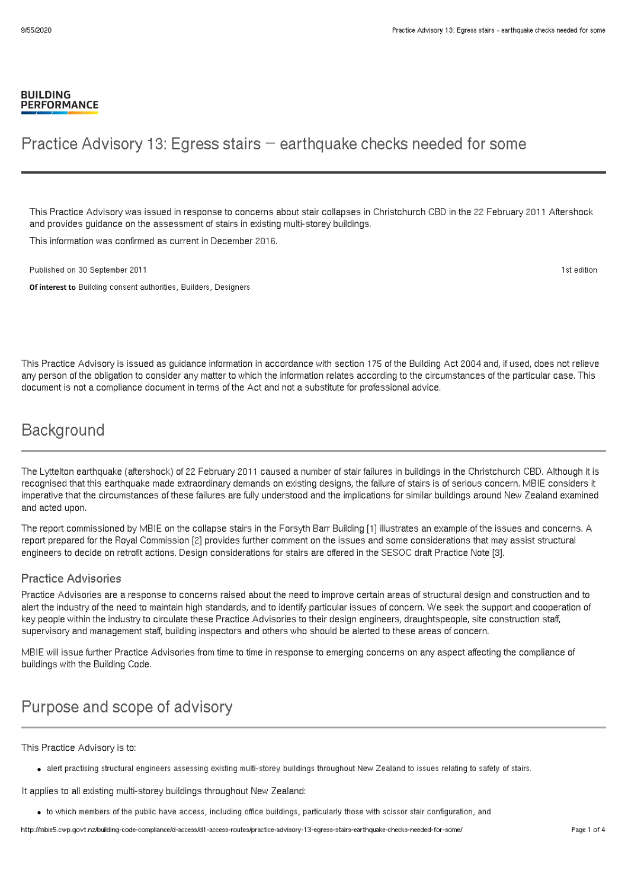#### **BUILDING PERFORMANCE**

### Practice Advisory 13: Egress stairs – earthquake checks needed for some

This Practice Advisory was issued in response to concerns about stair collapses in Christchurch CBD in the 22 February 2011 Aftershock and provides guidance on the assessment of stairs in existing multi-storey buildings.

This information was confirmed as current in December 2016.

Published on 30 September 2011

1st edition

Of interest to Building consent authorities, Builders, Designers

This Practice Advisory is issued as guidance information in accordance with section 175 of the Building Act 2004 and, if used, does not relieve any person of the obligation to consider any matter to which the information relates according to the circumstances of the particular case. This document is not a compliance document in terms of the Act and not a substitute for professional advice.

### **Background**

The Lyttelton earthquake (aftershock) of 22 February 2011 caused a number of stair failures in buildings in the Christchurch CBD. Although it is recognised that this earthquake made extraordinary demands on existing designs, the failure of stairs is of serious concern. MBIE considers it imperative that the circumstances of these failures are fully understood and the implications for similar buildings around New Zealand examined and acted upon.

The report commissioned by MBIE on the collapse stairs in the Forsyth Barr Building [1] illustrates an example of the issues and concerns. A report prepared for the Royal Commission [2] provides further comment on the issues and some considerations that may assist structural engineers to decide on retrofit actions. Design considerations for stairs are offered in the SESOC draft Practice Note [3].

### Practice Advisories

Practice Advisories are a response to concerns raised about the need to improve certain areas of structural design and construction and to alert the industry of the need to maintain high standards, and to identify particular issues of concern. We seek the support and cooperation of key people within the industry to circulate these Practice Advisories to their design engineers, draughtspeople, site construction staff, supervisory and management staff, building inspectors and others who should be alerted to these areas of concern.

MBIE will issue further Practice Advisories from time to time in response to emerging concerns on any aspect affecting the compliance of buildings with the Building Code.

# Purpose and scope of advisory

This Practice Advisory is to:

alert practising structural engineers assessing existing multi-storey buildings throughout New Zealand to issues relating to safety of stairs.

It applies to all existing multi-storey buildings throughout New Zealand:

to which members of the public have access, including office buildings, particularly those with scissor stair configuration, and

http://mbie5.cwp.govt.nz/building-code-compliance/d-access/d1-access-routes/practice-advisory-13-egress-stairs-earthquake-checks-needed-for-some/ Page 1 of 4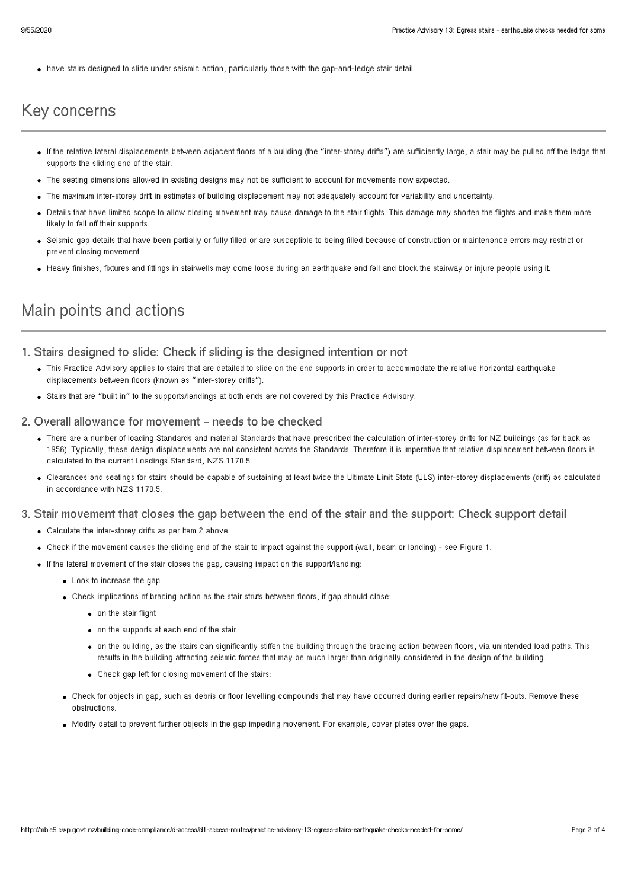have stairs designed to slide under seismic action, particularly those with the gap-and-ledge stair detail.

## Key concerns

- If the relative lateral displacements between adjacent floors of a building (the "inter-storey drifts") are sufficiently large, a stair may be pulled off the ledge that supports the sliding end of the stair.
- The seating dimensions allowed in existing designs may not be sufficient to account for movements now expected.
- The maximum inter-storey drift in estimates of building displacement may not adequately account for variability and uncertainty.
- Details that have limited scope to allow closing movement may cause damage to the stair flights. This damage may shorten the flights and make them more likely to fall off their supports.
- Seismic gap details that have been partially or fully filled or are susceptible to being filled because of construction or maintenance errors may restrict or prevent closing movement
- Heavy finishes, fixtures and fittings in stairwells may come loose during an earthquake and fall and block the stairway or injure people using it.

## Main points and actions

1. Stairs designed to slide: Check if sliding is the designed intention or not

- This Practice Advisory applies to stairs that are detailed to slide on the end supports in order to accommodate the relative horizontal earthquake displacements between floors (known as "inter-storey drifts").
- Stairs that are "built in" to the supports/landings at both ends are not covered by this Practice Advisory.

#### 2. Overall allowance for movement – needs to be checked

- There are a number of loading Standards and material Standards that have prescribed the calculation of inter-storey drifts for NZ buildings (as far back as 1956). Typically, these design displacements are not consistent across the Standards. Therefore it is imperative that relative displacement between floors is calculated to the current Loadings Standard, NZS 1170.5.
- Clearances and seatings for stairs should be capable of sustaining at least twice the Ultimate Limit State (ULS) inter-storey displacements (drift) as calculated in accordance with NZS 1170.5.

#### 3. Stair movement that closes the gap between the end of the stair and the support: Check support detail

- Calculate the inter-storey drifts as per Item 2 above.
- Check if the movement causes the sliding end of the stair to impact against the support (wall, beam or landing) see Figure 1.
- If the lateral movement of the stair closes the gap, causing impact on the support/landing:
	- Look to increase the gap.
	- Check implications of bracing action as the stair struts between floors, if gap should close:
		- on the stair flight
		- on the supports at each end of the stair
		- on the building, as the stairs can significantly stiffen the building through the bracing action between floors, via unintended load paths. This results in the building attracting seismic forces that may be much larger than originally considered in the design of the building.
		- Check gap left for closing movement of the stairs:
	- Check for objects in gap, such as debris or floor levelling compounds that may have occurred during earlier repairs/new fit-outs. Remove these obstructions.
	- Modify detail to prevent further objects in the gap impeding movement. For example, cover plates over the gaps.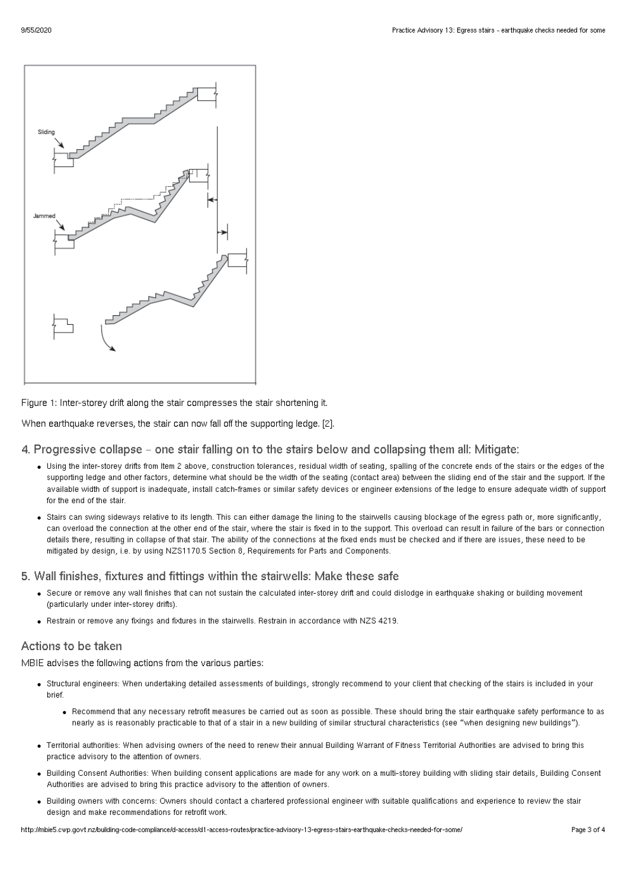

Figure 1: Inter-storey drift along the stair compresses the stair shortening it.

When earthquake reverses, the stair can now fall off the supporting ledge. [2].

### 4. Progressive collapse – one stair falling on to the stairs below and collapsing them all: Mitigate:

- Using the inter-storey drifts from Item 2 above, construction tolerances, residual width of seating, spalling of the concrete ends of the stairs or the edges of the supporting ledge and other factors, determine what should be the width of the seating (contact area) between the sliding end of the stair and the support. If the available width of support is inadequate, install catch-frames or similar safety devices or engineer extensions of the ledge to ensure adequate width of support for the end of the stair.
- Stairs can swing sideways relative to its length. This can either damage the lining to the stairwells causing blockage of the egress path or, more significantly, can overload the connection at the other end of the stair, where the stair is fixed in to the support. This overload can result in failure of the bars or connection details there, resulting in collapse of that stair. The ability of the connections at the fixed ends must be checked and if there are issues, these need to be mitigated by design, i.e. by using NZS1170.5 Section 8, Requirements for Parts and Components.

#### 5. Wall finishes, fixtures and fittings within the stairwells: Make these safe

- Secure or remove any wall finishes that can not sustain the calculated inter-storey drift and could dislodge in earthquake shaking or building movement (particularly under inter-storey drifts).
- Restrain or remove any fixings and fixtures in the stairwells. Restrain in accordance with NZS 4219.

### Actions to be taken

MBIE advises the following actions from the various parties:

- Structural engineers: When undertaking detailed assessments of buildings, strongly recommend to your client that checking of the stairs is included in your brief.
	- Recommend that any necessary retrofit measures be carried out as soon as possible. These should bring the stair earthquake safety performance to as nearly as is reasonably practicable to that of a stair in a new building of similar structural characteristics (see "when designing new buildings").
- Territorial authorities: When advising owners of the need to renew their annual Building Warrant of Fitness Territorial Authorities are advised to bring this practice advisory to the attention of owners.
- Building Consent Authorities: When building consent applications are made for any work on a multi-storey building with sliding stair details, Building Consent Authorities are advised to bring this practice advisory to the attention of owners.
- Building owners with concerns: Owners should contact a chartered professional engineer with suitable qualifications and experience to review the stair design and make recommendations for retrofit work.